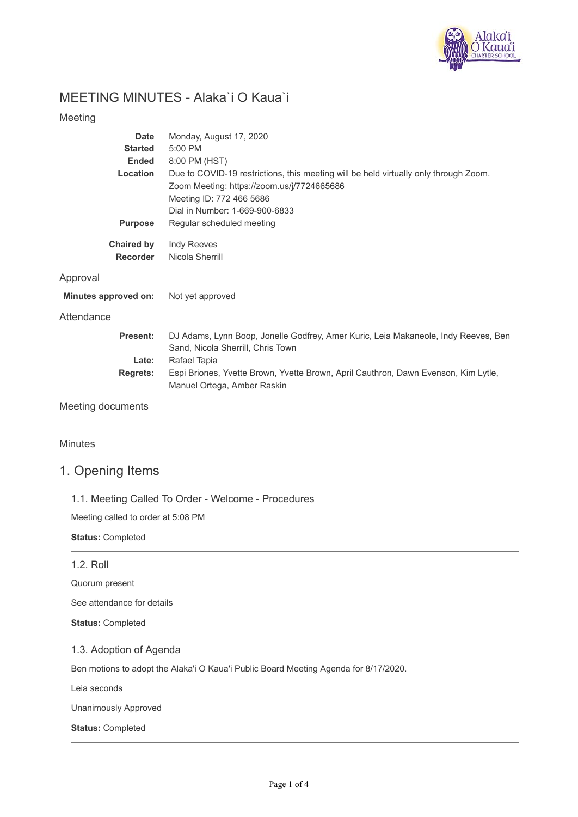

# MEETING MINUTES - Alaka`i O Kaua`i

## Meeting

| <b>Date</b>              | Monday, August 17, 2020                                                                                                                                                                          |
|--------------------------|--------------------------------------------------------------------------------------------------------------------------------------------------------------------------------------------------|
| <b>Started</b>           | 5:00 PM                                                                                                                                                                                          |
| <b>Ended</b>             | 8:00 PM (HST)                                                                                                                                                                                    |
| Location                 | Due to COVID-19 restrictions, this meeting will be held virtually only through Zoom.<br>Zoom Meeting: https://zoom.us/j/7724665686<br>Meeting ID: 772 466 5686<br>Dial in Number: 1-669-900-6833 |
| <b>Purpose</b>           | Regular scheduled meeting                                                                                                                                                                        |
| <b>Chaired by</b>        | Indy Reeves                                                                                                                                                                                      |
| <b>Recorder</b>          | Nicola Sherrill                                                                                                                                                                                  |
| Approval                 |                                                                                                                                                                                                  |
| Minutes approved on:     | Not yet approved                                                                                                                                                                                 |
| Attendance               |                                                                                                                                                                                                  |
| <b>Present:</b>          | DJ Adams, Lynn Boop, Jonelle Godfrey, Amer Kuric, Leia Makaneole, Indy Reeves, Ben<br>Sand, Nicola Sherrill, Chris Town                                                                          |
| Late:                    | Rafael Tapia                                                                                                                                                                                     |
| <b>Regrets:</b>          | Espi Briones, Yvette Brown, Yvette Brown, April Cauthron, Dawn Evenson, Kim Lytle,<br>Manuel Ortega, Amber Raskin                                                                                |
| <b>Meeting documents</b> |                                                                                                                                                                                                  |

## Minutes

# 1. Opening Items

1.1. Meeting Called To Order - Welcome - Procedures

Meeting called to order at 5:08 PM

**Status:** Completed

### 1.2. Roll

Quorum present

See attendance for details

**Status:** Completed

### 1.3. Adoption of Agenda

Ben motions to adopt the Alaka'i O Kaua'i Public Board Meeting Agenda for 8/17/2020.

Leia seconds

Unanimously Approved

**Status:** Completed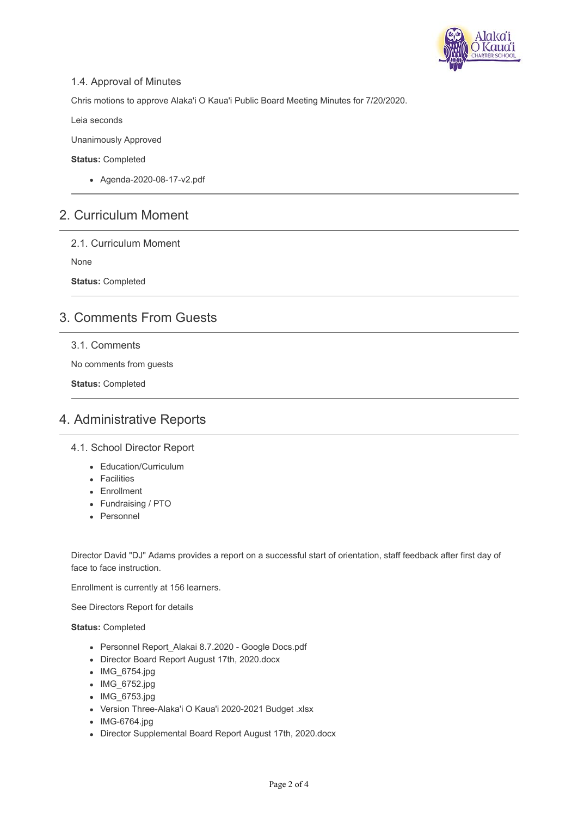

## 1.4. Approval of Minutes

Chris motions to approve Alaka'i O Kaua'i Public Board Meeting Minutes for 7/20/2020.

Leia seconds

Unanimously Approved

**Status:** Completed

Agenda-2020-08-17-v2.pdf

# 2. Curriculum Moment

2.1. Curriculum Moment

None

**Status:** Completed

# 3. Comments From Guests

## 3.1. Comments

No comments from guests

**Status:** Completed

# 4. Administrative Reports

4.1. School Director Report

- Education/Curriculum
- Facilities
- Enrollment
- Fundraising / PTO
- Personnel

Director David "DJ" Adams provides a report on a successful start of orientation, staff feedback after first day of face to face instruction.

Enrollment is currently at 156 learners.

See Directors Report for details

**Status:** Completed

- Personnel Report\_Alakai 8.7.2020 Google Docs.pdf
- Director Board Report August 17th, 2020.docx
- IMG\_6754.jpg
- IMG\_6752.jpg
- IMG 6753.jpg
- Version Three-Alaka'i O Kaua'i 2020-2021 Budget .xlsx
- IMG-6764.jpg
- Director Supplemental Board Report August 17th, 2020.docx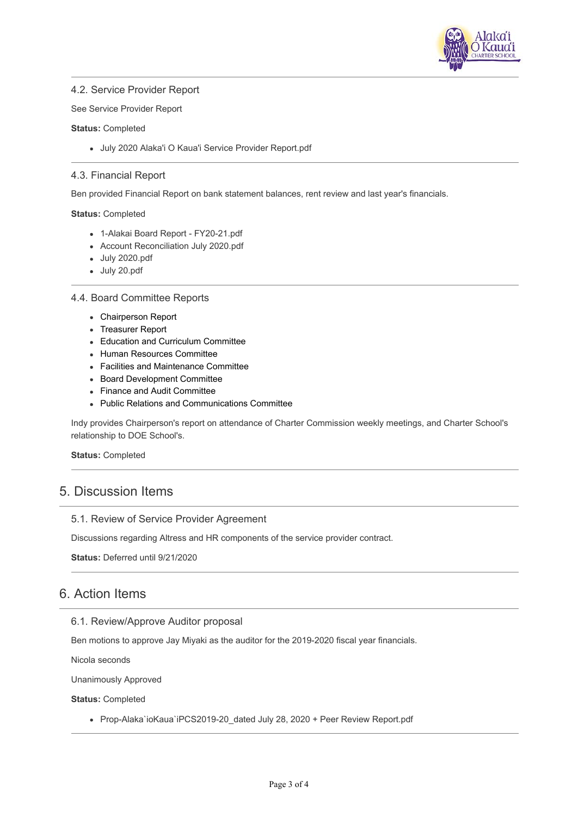

### 4.2. Service Provider Report

See Service Provider Report

#### **Status:** Completed

July 2020 Alaka'i O Kaua'i Service Provider Report.pdf

#### 4.3. Financial Report

Ben provided Financial Report on bank statement balances, rent review and last year's financials.

#### **Status:** Completed

- 1-Alakai Board Report FY20-21.pdf
- Account Reconciliation July 2020.pdf
- July 2020.pdf
- July 20.pdf

#### 4.4. Board Committee Reports

- Chairperson Report
- Treasurer Report
- Education and Curriculum Committee
- Human Resources Committee
- Facilities and Maintenance Committee
- Board Development Committee
- Finance and Audit Committee
- Public Relations and Communications Committee

Indy provides Chairperson's report on attendance of Charter Commission weekly meetings, and Charter School's relationship to DOE School's.

#### **Status:** Completed

## 5. Discussion Items

#### 5.1. Review of Service Provider Agreement

Discussions regarding Altress and HR components of the service provider contract.

**Status:** Deferred until 9/21/2020

# 6. Action Items

### 6.1. Review/Approve Auditor proposal

Ben motions to approve Jay Miyaki as the auditor for the 2019-2020 fiscal year financials.

Nicola seconds

Unanimously Approved

**Status:** Completed

• Prop-Alaka`ioKaua`iPCS2019-20 dated July 28, 2020 + Peer Review Report.pdf